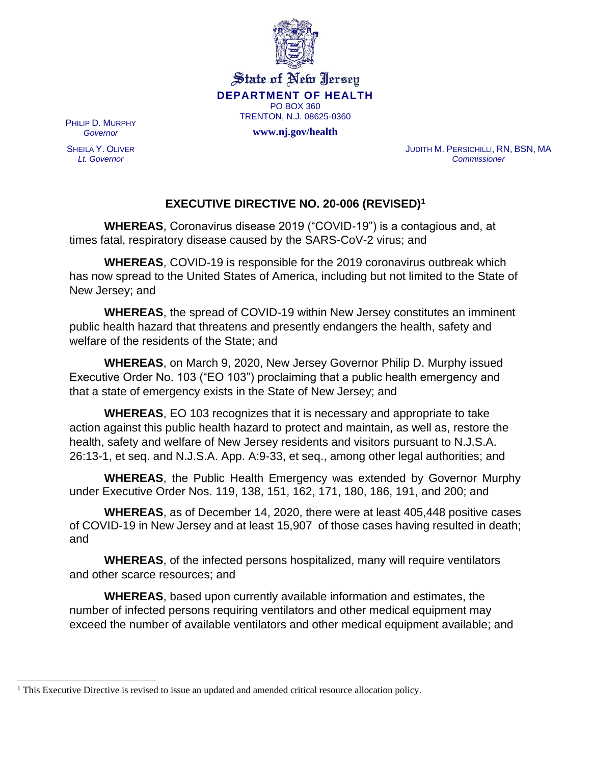

State of New Jersey **DEPARTMENT OF HEALTH** PO BOX 360 TRENTON, N.J. 08625-0360

**www.nj.gov/health**

PHILIP D. MURPHY *Governor*

SHEILA Y. OLIVER *Lt. Governor*

JUDITH M. PERSICHILLI, RN, BSN, MA *Commissioner*

## **EXECUTIVE DIRECTIVE NO. 20-006 (REVISED)<sup>1</sup>**

**WHEREAS**, Coronavirus disease 2019 ("COVID-19") is a contagious and, at times fatal, respiratory disease caused by the SARS-CoV-2 virus; and

**WHEREAS**, COVID-19 is responsible for the 2019 coronavirus outbreak which has now spread to the United States of America, including but not limited to the State of New Jersey; and

**WHEREAS**, the spread of COVID-19 within New Jersey constitutes an imminent public health hazard that threatens and presently endangers the health, safety and welfare of the residents of the State; and

**WHEREAS**, on March 9, 2020, New Jersey Governor Philip D. Murphy issued Executive Order No. 103 ("EO 103") proclaiming that a public health emergency and that a state of emergency exists in the State of New Jersey; and

**WHEREAS**, EO 103 recognizes that it is necessary and appropriate to take action against this public health hazard to protect and maintain, as well as, restore the health, safety and welfare of New Jersey residents and visitors pursuant to N.J.S.A. 26:13-1, et seq. and N.J.S.A. App. A:9-33, et seq., among other legal authorities; and

**WHEREAS**, the Public Health Emergency was extended by Governor Murphy under Executive Order Nos. 119, 138, 151, 162, 171, 180, 186, 191, and 200; and

**WHEREAS**, as of December 14, 2020, there were at least 405,448 positive cases of COVID-19 in New Jersey and at least 15,907 of those cases having resulted in death; and

**WHEREAS**, of the infected persons hospitalized, many will require ventilators and other scarce resources; and

**WHEREAS**, based upon currently available information and estimates, the number of infected persons requiring ventilators and other medical equipment may exceed the number of available ventilators and other medical equipment available; and

<sup>&</sup>lt;sup>1</sup> This Executive Directive is revised to issue an updated and amended critical resource allocation policy.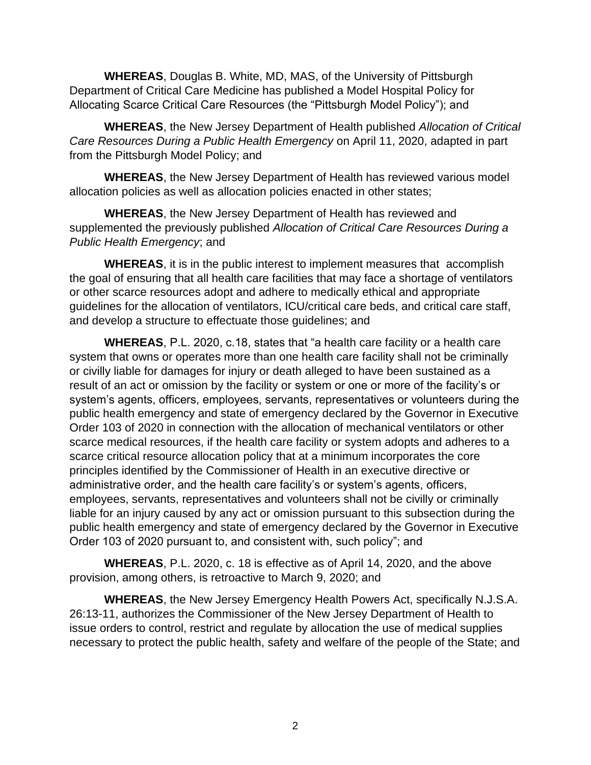**WHEREAS**, Douglas B. White, MD, MAS, of the University of Pittsburgh Department of Critical Care Medicine has published a Model Hospital Policy for Allocating Scarce Critical Care Resources (the "Pittsburgh Model Policy"); and

**WHEREAS**, the New Jersey Department of Health published *Allocation of Critical Care Resources During a Public Health Emergency* on April 11, 2020, adapted in part from the Pittsburgh Model Policy; and

**WHEREAS**, the New Jersey Department of Health has reviewed various model allocation policies as well as allocation policies enacted in other states;

**WHEREAS**, the New Jersey Department of Health has reviewed and supplemented the previously published *Allocation of Critical Care Resources During a Public Health Emergency*; and

**WHEREAS**, it is in the public interest to implement measures that accomplish the goal of ensuring that all health care facilities that may face a shortage of ventilators or other scarce resources adopt and adhere to medically ethical and appropriate guidelines for the allocation of ventilators, ICU/critical care beds, and critical care staff, and develop a structure to effectuate those guidelines; and

**WHEREAS**, P.L. 2020, c.18, states that "a health care facility or a health care system that owns or operates more than one health care facility shall not be criminally or civilly liable for damages for injury or death alleged to have been sustained as a result of an act or omission by the facility or system or one or more of the facility's or system's agents, officers, employees, servants, representatives or volunteers during the public health emergency and state of emergency declared by the Governor in Executive Order 103 of 2020 in connection with the allocation of mechanical ventilators or other scarce medical resources, if the health care facility or system adopts and adheres to a scarce critical resource allocation policy that at a minimum incorporates the core principles identified by the Commissioner of Health in an executive directive or administrative order, and the health care facility's or system's agents, officers, employees, servants, representatives and volunteers shall not be civilly or criminally liable for an injury caused by any act or omission pursuant to this subsection during the public health emergency and state of emergency declared by the Governor in Executive Order 103 of 2020 pursuant to, and consistent with, such policy"; and

**WHEREAS**, P.L. 2020, c. 18 is effective as of April 14, 2020, and the above provision, among others, is retroactive to March 9, 2020; and

**WHEREAS**, the New Jersey Emergency Health Powers Act, specifically N.J.S.A. 26:13-11, authorizes the Commissioner of the New Jersey Department of Health to issue orders to control, restrict and regulate by allocation the use of medical supplies necessary to protect the public health, safety and welfare of the people of the State; and